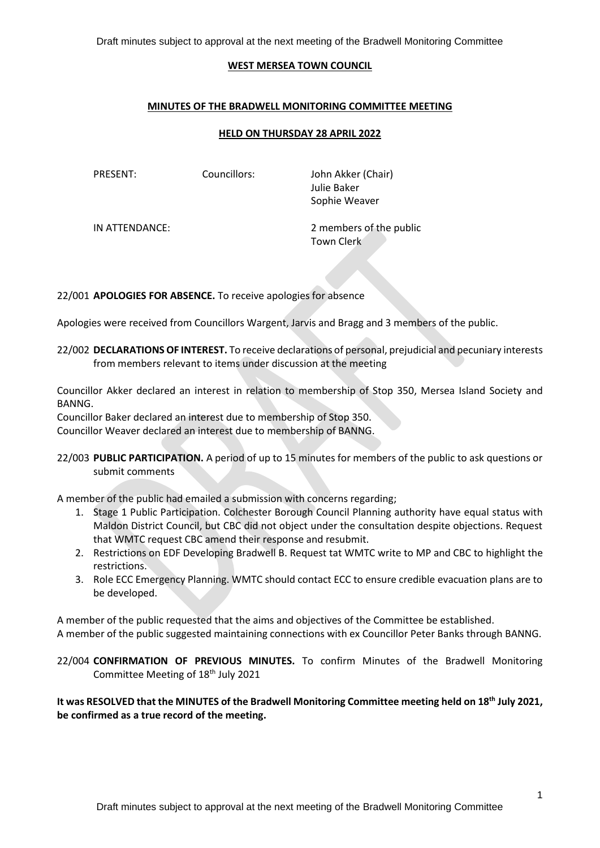Draft minutes subject to approval at the next meeting of the Bradwell Monitoring Committee

#### **WEST MERSEA TOWN COUNCIL**

## **MINUTES OF THE BRADWELL MONITORING COMMITTEE MEETING**

## **HELD ON THURSDAY 28 APRIL 2022**

PRESENT: Councillors: John Akker (Chair) Julie Baker Sophie Weaver

IN ATTENDANCE: 2 members of the public Town Clerk

22/001 **APOLOGIES FOR ABSENCE.** To receive apologies for absence

Apologies were received from Councillors Wargent, Jarvis and Bragg and 3 members of the public.

22/002 **DECLARATIONS OF INTEREST.** To receive declarations of personal, prejudicial and pecuniary interests from members relevant to items under discussion at the meeting

Councillor Akker declared an interest in relation to membership of Stop 350, Mersea Island Society and BANNG.

Councillor Baker declared an interest due to membership of Stop 350. Councillor Weaver declared an interest due to membership of BANNG.

22/003 **PUBLIC PARTICIPATION.** A period of up to 15 minutes for members of the public to ask questions or submit comments

A member of the public had emailed a submission with concerns regarding;

- 1. Stage 1 Public Participation. Colchester Borough Council Planning authority have equal status with Maldon District Council, but CBC did not object under the consultation despite objections. Request that WMTC request CBC amend their response and resubmit.
- 2. Restrictions on EDF Developing Bradwell B. Request tat WMTC write to MP and CBC to highlight the restrictions.
- 3. Role ECC Emergency Planning. WMTC should contact ECC to ensure credible evacuation plans are to be developed.

A member of the public requested that the aims and objectives of the Committee be established. A member of the public suggested maintaining connections with ex Councillor Peter Banks through BANNG.

22/004 **CONFIRMATION OF PREVIOUS MINUTES.** To confirm Minutes of the Bradwell Monitoring Committee Meeting of 18<sup>th</sup> July 2021

**It was RESOLVED that the MINUTES of the Bradwell Monitoring Committee meeting held on 18 th July 2021, be confirmed as a true record of the meeting.**